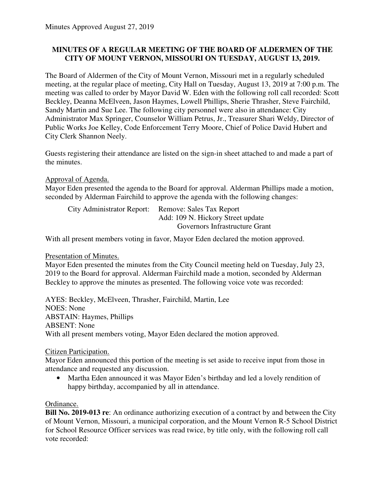### **MINUTES OF A REGULAR MEETING OF THE BOARD OF ALDERMEN OF THE CITY OF MOUNT VERNON, MISSOURI ON TUESDAY, AUGUST 13, 2019.**

The Board of Aldermen of the City of Mount Vernon, Missouri met in a regularly scheduled meeting, at the regular place of meeting, City Hall on Tuesday, August 13, 2019 at 7:00 p.m. The meeting was called to order by Mayor David W. Eden with the following roll call recorded: Scott Beckley, Deanna McElveen, Jason Haymes, Lowell Phillips, Sherie Thrasher, Steve Fairchild, Sandy Martin and Sue Lee. The following city personnel were also in attendance: City Administrator Max Springer, Counselor William Petrus, Jr., Treasurer Shari Weldy, Director of Public Works Joe Kelley, Code Enforcement Terry Moore, Chief of Police David Hubert and City Clerk Shannon Neely.

Guests registering their attendance are listed on the sign-in sheet attached to and made a part of the minutes.

Approval of Agenda.

Mayor Eden presented the agenda to the Board for approval. Alderman Phillips made a motion, seconded by Alderman Fairchild to approve the agenda with the following changes:

| City Administrator Report: | Remove: Sales Tax Report          |
|----------------------------|-----------------------------------|
|                            | Add: 109 N. Hickory Street update |
|                            | Governors Infrastructure Grant    |

With all present members voting in favor, Mayor Eden declared the motion approved.

Presentation of Minutes.

Mayor Eden presented the minutes from the City Council meeting held on Tuesday, July 23, 2019 to the Board for approval. Alderman Fairchild made a motion, seconded by Alderman Beckley to approve the minutes as presented. The following voice vote was recorded:

AYES: Beckley, McElveen, Thrasher, Fairchild, Martin, Lee NOES: None ABSTAIN: Haymes, Phillips ABSENT: None With all present members voting, Mayor Eden declared the motion approved.

### Citizen Participation.

Mayor Eden announced this portion of the meeting is set aside to receive input from those in attendance and requested any discussion.

• Martha Eden announced it was Mayor Eden's birthday and led a lovely rendition of happy birthday, accompanied by all in attendance.

### Ordinance.

**Bill No. 2019-013 re**: An ordinance authorizing execution of a contract by and between the City of Mount Vernon, Missouri, a municipal corporation, and the Mount Vernon R-5 School District for School Resource Officer services was read twice, by title only, with the following roll call vote recorded: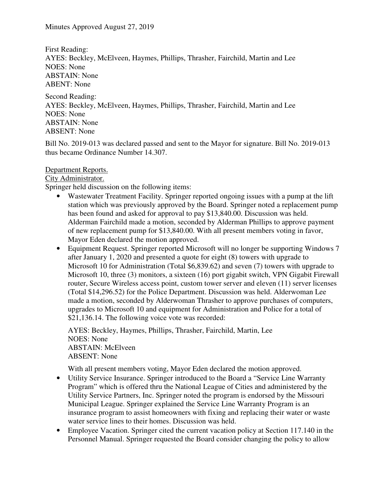First Reading: AYES: Beckley, McElveen, Haymes, Phillips, Thrasher, Fairchild, Martin and Lee NOES: None ABSTAIN: None ABENT: None

Second Reading: AYES: Beckley, McElveen, Haymes, Phillips, Thrasher, Fairchild, Martin and Lee NOES: None ABSTAIN: None ABSENT: None

Bill No. 2019-013 was declared passed and sent to the Mayor for signature. Bill No. 2019-013 thus became Ordinance Number 14.307.

### Department Reports.

City Administrator.

Springer held discussion on the following items:

- Wastewater Treatment Facility. Springer reported ongoing issues with a pump at the lift station which was previously approved by the Board. Springer noted a replacement pump has been found and asked for approval to pay \$13,840.00. Discussion was held. Alderman Fairchild made a motion, seconded by Alderman Phillips to approve payment of new replacement pump for \$13,840.00. With all present members voting in favor, Mayor Eden declared the motion approved.
- Equipment Request. Springer reported Microsoft will no longer be supporting Windows 7 after January 1, 2020 and presented a quote for eight (8) towers with upgrade to Microsoft 10 for Administration (Total \$6,839.62) and seven (7) towers with upgrade to Microsoft 10, three (3) monitors, a sixteen (16) port gigabit switch, VPN Gigabit Firewall router, Secure Wireless access point, custom tower server and eleven (11) server licenses (Total \$14,296.52) for the Police Department. Discussion was held. Alderwoman Lee made a motion, seconded by Alderwoman Thrasher to approve purchases of computers, upgrades to Microsoft 10 and equipment for Administration and Police for a total of \$21,136.14. The following voice vote was recorded:

AYES: Beckley, Haymes, Phillips, Thrasher, Fairchild, Martin, Lee NOES: None ABSTAIN: McElveen ABSENT: None

With all present members voting, Mayor Eden declared the motion approved.

- Utility Service Insurance. Springer introduced to the Board a "Service Line Warranty" Program" which is offered thru the National League of Cities and administered by the Utility Service Partners, Inc. Springer noted the program is endorsed by the Missouri Municipal League. Springer explained the Service Line Warranty Program is an insurance program to assist homeowners with fixing and replacing their water or waste water service lines to their homes. Discussion was held.
- Employee Vacation. Springer cited the current vacation policy at Section 117.140 in the Personnel Manual. Springer requested the Board consider changing the policy to allow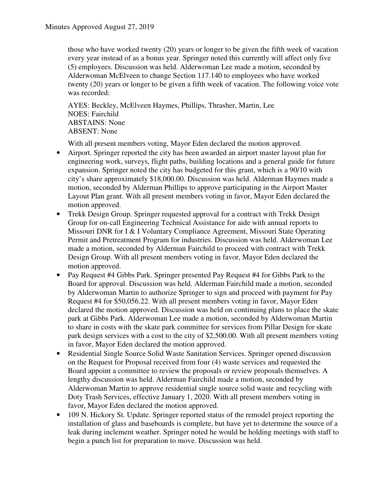those who have worked twenty (20) years or longer to be given the fifth week of vacation every year instead of as a bonus year. Springer noted this currently will affect only five (5) employees. Discussion was held. Alderwoman Lee made a motion, seconded by Alderwoman McElveen to change Section 117.140 to employees who have worked twenty (20) years or longer to be given a fifth week of vacation. The following voice vote was recorded:

AYES: Beckley, McElveen Haymes, Phillips, Thrasher, Martin, Lee NOES: Fairchild ABSTAINS: None ABSENT: None

With all present members voting, Mayor Eden declared the motion approved.

- Airport. Springer reported the city has been awarded an airport master layout plan for engineering work, surveys, flight paths, building locations and a general guide for future expansion. Springer noted the city has budgeted for this grant, which is a 90/10 with city's share approximately \$18,000.00. Discussion was held. Alderman Haymes made a motion, seconded by Alderman Phillips to approve participating in the Airport Master Layout Plan grant. With all present members voting in favor, Mayor Eden declared the motion approved.
- Trekk Design Group. Springer requested approval for a contract with Trekk Design Group for on-call Engineering Technical Assistance for aide with annual reports to Missouri DNR for I & I Voluntary Compliance Agreement, Missouri State Operating Permit and Pretreatment Program for industries. Discussion was held. Alderwoman Lee made a motion, seconded by Alderman Fairchild to proceed with contract with Trekk Design Group. With all present members voting in favor, Mayor Eden declared the motion approved.
- Pay Request #4 Gibbs Park. Springer presented Pay Request #4 for Gibbs Park to the Board for approval. Discussion was held. Alderman Fairchild made a motion, seconded by Alderwoman Martin to authorize Springer to sign and proceed with payment for Pay Request #4 for \$50,056.22. With all present members voting in favor, Mayor Eden declared the motion approved. Discussion was held on continuing plans to place the skate park at Gibbs Park. Alderwoman Lee made a motion, seconded by Alderwoman Martin to share in costs with the skate park committee for services from Pillar Design for skate park design services with a cost to the city of \$2,500.00. With all present members voting in favor, Mayor Eden declared the motion approved.
- Residential Single Source Solid Waste Sanitation Services. Springer opened discussion on the Request for Proposal received from four (4) waste services and requested the Board appoint a committee to review the proposals or review proposals themselves. A lengthy discussion was held. Alderman Fairchild made a motion, seconded by Alderwoman Martin to approve residential single source solid waste and recycling with Doty Trash Services, effective January 1, 2020. With all present members voting in favor, Mayor Eden declared the motion approved.
- 109 N. Hickory St. Update. Springer reported status of the remodel project reporting the installation of glass and baseboards is complete, but have yet to determine the source of a leak during inclement weather. Springer noted he would be holding meetings with staff to begin a punch list for preparation to move. Discussion was held.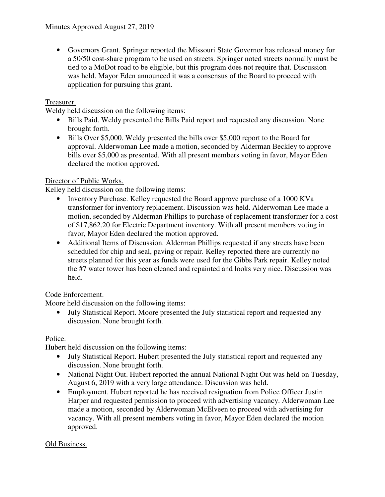• Governors Grant. Springer reported the Missouri State Governor has released money for a 50/50 cost-share program to be used on streets. Springer noted streets normally must be tied to a MoDot road to be eligible, but this program does not require that. Discussion was held. Mayor Eden announced it was a consensus of the Board to proceed with application for pursuing this grant.

# Treasurer.

Weldy held discussion on the following items:

- Bills Paid. Weldy presented the Bills Paid report and requested any discussion. None brought forth.
- Bills Over \$5,000. Weldy presented the bills over \$5,000 report to the Board for approval. Alderwoman Lee made a motion, seconded by Alderman Beckley to approve bills over \$5,000 as presented. With all present members voting in favor, Mayor Eden declared the motion approved.

## Director of Public Works.

Kelley held discussion on the following items:

- Inventory Purchase. Kelley requested the Board approve purchase of a 1000 KVa transformer for inventory replacement. Discussion was held. Alderwoman Lee made a motion, seconded by Alderman Phillips to purchase of replacement transformer for a cost of \$17,862.20 for Electric Department inventory. With all present members voting in favor, Mayor Eden declared the motion approved.
- Additional Items of Discussion. Alderman Phillips requested if any streets have been scheduled for chip and seal, paving or repair. Kelley reported there are currently no streets planned for this year as funds were used for the Gibbs Park repair. Kelley noted the #7 water tower has been cleaned and repainted and looks very nice. Discussion was held.

## Code Enforcement.

Moore held discussion on the following items:

• July Statistical Report. Moore presented the July statistical report and requested any discussion. None brought forth.

## Police.

Hubert held discussion on the following items:

- July Statistical Report. Hubert presented the July statistical report and requested any discussion. None brought forth.
- National Night Out. Hubert reported the annual National Night Out was held on Tuesday, August 6, 2019 with a very large attendance. Discussion was held.
- Employment. Hubert reported he has received resignation from Police Officer Justin Harper and requested permission to proceed with advertising vacancy. Alderwoman Lee made a motion, seconded by Alderwoman McElveen to proceed with advertising for vacancy. With all present members voting in favor, Mayor Eden declared the motion approved.

### Old Business.